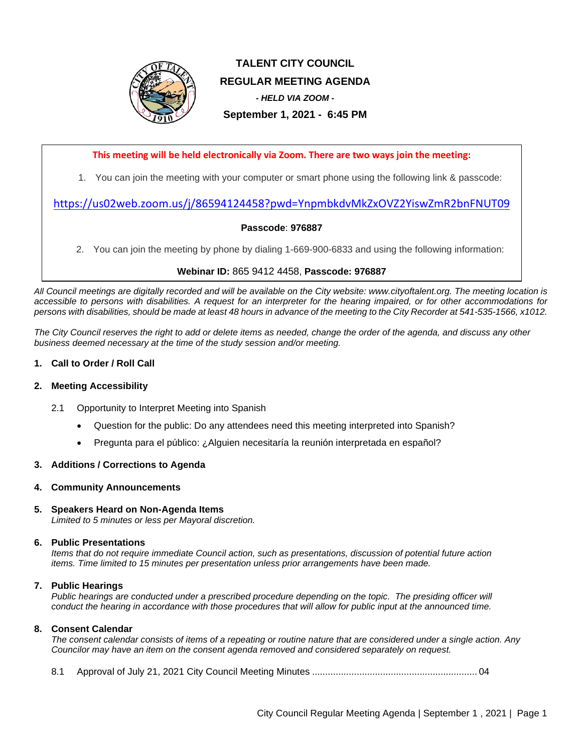

# **TALENT CITY COUNCIL REGULAR MEETING AGENDA** *- HELD VIA ZOOM -* **September 1, 2021 - 6:45 PM**

### **This meeting will be held electronically via Zoom. There are two ways join the meeting:**

1. You can join the meeting with your computer or smart phone using the following link & passcode:

## <https://us02web.zoom.us/j/86594124458?pwd=YnpmbkdvMkZxOVZ2YiswZmR2bnFNUT09>

#### **Passcode**: **976887**

2. You can join the meeting by phone by dialing 1-669-900-6833 and using the following information:

#### **Webinar ID:** 865 9412 4458, **Passcode: 976887**

*All Council meetings are digitally recorded and will be available on the City website: www.cityoftalent.org. The meeting location is accessible to persons with disabilities. A request for an interpreter for the hearing impaired, or for other accommodations for persons with disabilities, should be made at least 48 hours in advance of the meeting to the City Recorder at 541-535-1566, x1012.*

*The City Council reserves the right to add or delete items as needed, change the order of the agenda, and discuss any other business deemed necessary at the time of the study session and/or meeting.*

#### **1. Call to Order / Roll Call**

#### **2. Meeting Accessibility**

- 2.1 Opportunity to Interpret Meeting into Spanish
	- Question for the public: Do any attendees need this meeting interpreted into Spanish?
	- Pregunta para el público: ¿Alguien necesitaría la reunión interpretada en español?

#### **3. Additions / Corrections to Agenda**

#### **4. Community Announcements**

### **5. Speakers Heard on Non-Agenda Items**

*Limited to 5 minutes or less per Mayoral discretion.*

#### **6. Public Presentations**

*Items that do not require immediate Council action, such as presentations, discussion of potential future action items. Time limited to 15 minutes per presentation unless prior arrangements have been made.*

#### **7. Public Hearings**

*Public hearings are conducted under a prescribed procedure depending on the topic. The presiding officer will conduct the hearing in accordance with those procedures that will allow for public input at the announced time.*

#### **8. Consent Calendar**

*The consent calendar consists of items of a repeating or routine nature that are considered under a single action. Any Councilor may have an item on the consent agenda removed and considered separately on request.*

8.1 Approval of July 21, 2021 City Council Meeting Minutes ............................................................... 04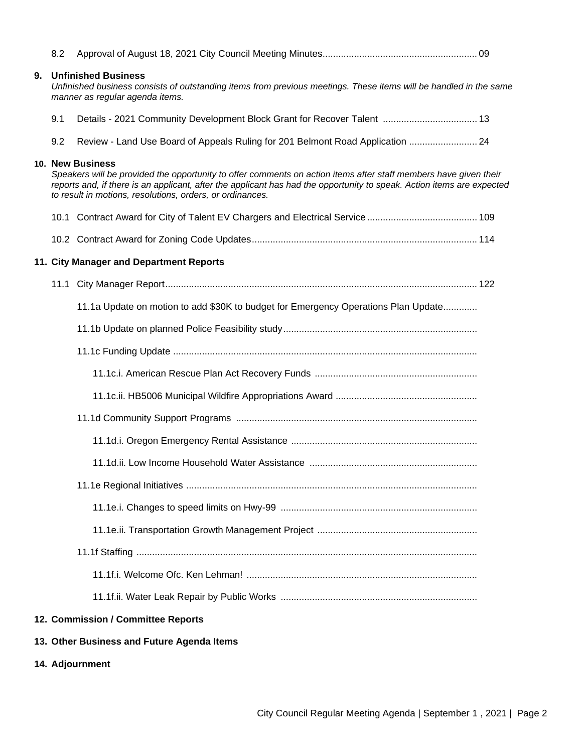|    | 8.2                                                                                                                                                                                                                                                                                                                         |                                                                                    |  |
|----|-----------------------------------------------------------------------------------------------------------------------------------------------------------------------------------------------------------------------------------------------------------------------------------------------------------------------------|------------------------------------------------------------------------------------|--|
| 9. | <b>Unfinished Business</b><br>Unfinished business consists of outstanding items from previous meetings. These items will be handled in the same<br>manner as regular agenda items.                                                                                                                                          |                                                                                    |  |
|    | 9.1                                                                                                                                                                                                                                                                                                                         | Details - 2021 Community Development Block Grant for Recover Talent  13            |  |
|    | 9.2                                                                                                                                                                                                                                                                                                                         | Review - Land Use Board of Appeals Ruling for 201 Belmont Road Application  24     |  |
|    | 10. New Business<br>Speakers will be provided the opportunity to offer comments on action items after staff members have given their<br>reports and, if there is an applicant, after the applicant has had the opportunity to speak. Action items are expected<br>to result in motions, resolutions, orders, or ordinances. |                                                                                    |  |
|    |                                                                                                                                                                                                                                                                                                                             |                                                                                    |  |
|    |                                                                                                                                                                                                                                                                                                                             |                                                                                    |  |
|    |                                                                                                                                                                                                                                                                                                                             | 11. City Manager and Department Reports                                            |  |
|    |                                                                                                                                                                                                                                                                                                                             |                                                                                    |  |
|    |                                                                                                                                                                                                                                                                                                                             | 11.1a Update on motion to add \$30K to budget for Emergency Operations Plan Update |  |
|    |                                                                                                                                                                                                                                                                                                                             |                                                                                    |  |
|    |                                                                                                                                                                                                                                                                                                                             |                                                                                    |  |
|    |                                                                                                                                                                                                                                                                                                                             |                                                                                    |  |
|    |                                                                                                                                                                                                                                                                                                                             |                                                                                    |  |
|    |                                                                                                                                                                                                                                                                                                                             |                                                                                    |  |
|    |                                                                                                                                                                                                                                                                                                                             |                                                                                    |  |
|    |                                                                                                                                                                                                                                                                                                                             |                                                                                    |  |
|    |                                                                                                                                                                                                                                                                                                                             |                                                                                    |  |
|    |                                                                                                                                                                                                                                                                                                                             |                                                                                    |  |
|    |                                                                                                                                                                                                                                                                                                                             |                                                                                    |  |
|    |                                                                                                                                                                                                                                                                                                                             |                                                                                    |  |
|    |                                                                                                                                                                                                                                                                                                                             |                                                                                    |  |
|    |                                                                                                                                                                                                                                                                                                                             |                                                                                    |  |
|    |                                                                                                                                                                                                                                                                                                                             | 12. Commission / Committee Reports                                                 |  |
|    |                                                                                                                                                                                                                                                                                                                             | 13. Other Business and Future Agenda Items                                         |  |
|    |                                                                                                                                                                                                                                                                                                                             | 14. Adjournment                                                                    |  |